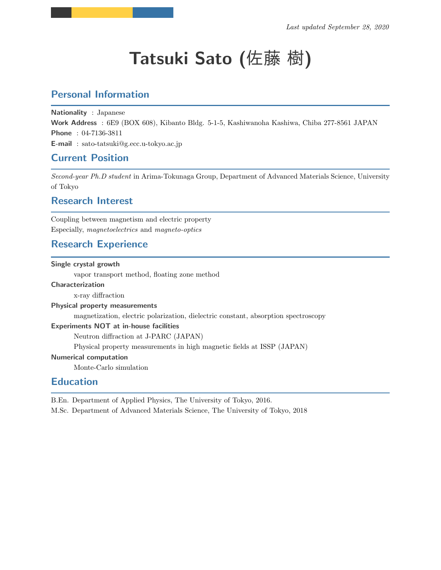# **Tatsuki Sato (**佐藤 樹**)**

## **Personal Information**

**Nationality** : Japanese **Work Address** : 6E9 (BOX 608), Kibanto Bldg. 5-1-5, Kashiwanoha Kashiwa, Chiba 277-8561 JAPAN **Phone** : 04-7136-3811 **E-mail** : sato-tatsuki@g.ecc.u-tokyo.ac.jp

## **Current Position**

*Second-year Ph.D student* in Arima-Tokunaga Group, Department of Advanced Materials Science, University of Tokyo

## **Research Interest**

Coupling between magnetism and electric property Especially, *magnetoelectrics* and *magneto-optics*

## **Research Experience**

#### **Single crystal growth**

vapor transport method, floating zone method

#### **Characterization**

x-ray diffraction

#### **Physical property measurements**

magnetization, electric polarization, dielectric constant, absorption spectroscopy

#### **Experiments NOT at in-house facilities**

Neutron diffraction at J-PARC (JAPAN)

Physical property measurements in high magnetic fields at ISSP (JAPAN)

#### **Numerical computation**

Monte-Carlo simulation

### **Education**

B.En. Department of Applied Physics, The University of Tokyo, 2016.

M.Sc. Department of Advanced Materials Science, The University of Tokyo, 2018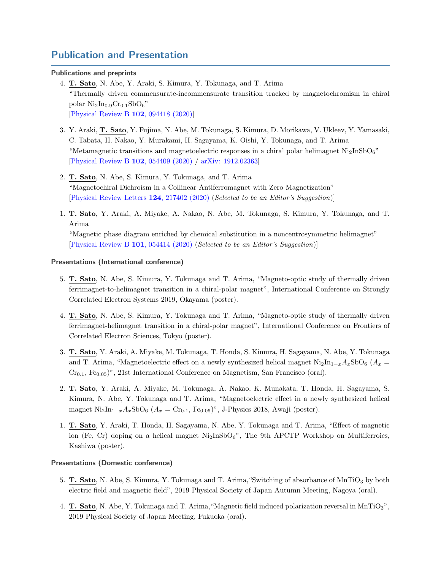## **Publication and Presentation**

#### **Publications and preprints**

- 4. **T. Sato**, N. Abe, Y. Araki, S. Kimura, Y. Tokunaga, and T. Arima "Thermally driven commensurate-incommensurate transition tracked by magnetochromism in chiral polar  $\text{Ni}_2\text{In}_0$ <sub>9</sub> $\text{Cr}_{0.1}\text{SbO}_6$ " [[Physical Review B](https://link.aps.org/doi/10.1103/PhysRevB.102.094418) **102**, 094418 (2020)]
- 3. Y. Araki, **T. Sato**, Y. Fujima, N. Abe, M. Tokunaga, S. Kimura, D. Morikawa, V. Ukleev, Y. Yamasaki, C. Tabata, H. Nakao, Y. Murakami, H. Sagayama, K. Oishi, Y. Tokunaga, and T. Arima "Metamagnetic transitions and magnetoelectric responses in a chiral polar helimagnet  $\text{Ni}_2\text{InSbO}_6$ " [[Physical Review B](https://link.aps.org/doi/10.1103/PhysRevB.102.054409) **102**, 054409 (2020) / [arXiv: 1912.02363](https://arxiv.org/abs/1912.02363)]
- 2. **T. Sato**, N. Abe, S. Kimura, Y. Tokunaga, and T. Arima "Magnetochiral Dichroism in a Collinear Antiferromagnet with Zero Magnetization" [[Physical Review Letters](https://journals.aps.org/prl/abstract/10.1103/PhysRevLett.124.217402) **124**, 217402 (2020) (*Selected to be an Editor's Suggestion*)]
- 1. **T. Sato**, Y. Araki, A. Miyake, A. Nakao, N. Abe, M. Tokunaga, S. Kimura, Y. Tokunaga, and T. Arima "Magnetic phase diagram enriched by chemical substitution in a noncentrosymmetric helimagnet" [[Physical Review B](https://link.aps.org/doi/10.1103/PhysRevB.101.054414) **101**, 054414 (2020) (*Selected to be an Editor's Suggestion*)]

#### **Presentations (International conference)**

- 5. **T. Sato**, N. Abe, S. Kimura, Y. Tokunaga and T. Arima, "Magneto-optic study of thermally driven ferrimagnet-to-helimagnet transition in a chiral-polar magnet", International Conference on Strongly Correlated Electron Systems 2019, Okayama (poster).
- 4. **T. Sato**, N. Abe, S. Kimura, Y. Tokunaga and T. Arima, "Magneto-optic study of thermally driven ferrimagnet-helimagnet transition in a chiral-polar magnet", International Conference on Frontiers of Correlated Electron Sciences, Tokyo (poster).
- 3. **T. Sato**, Y. Araki, A. Miyake, M. Tokunaga, T. Honda, S. Kimura, H. Sagayama, N. Abe, Y. Tokunaga and T. Arima, "Magnetoelectric effect on a newly synthesized helical magnet  $\text{Ni}_2\text{In}_{1-x}A_x\text{SbO}_6$  ( $A_x$  = Cr<sub>0.1</sub>, Fe<sub>0.05</sub>)", 21st International Conference on Magnetism, San Francisco (oral).
- 2. **T. Sato**, Y. Araki, A. Miyake, M. Tokunaga, A. Nakao, K. Munakata, T. Honda, H. Sagayama, S. Kimura, N. Abe, Y. Tokunaga and T. Arima, "Magnetoelectric effect in a newly synthesized helical magnet Ni2In<sup>1</sup>*−<sup>x</sup>Ax*SbO<sup>6</sup> (*A<sup>x</sup>* = Cr0*.*1, Fe0*.*05)", J-Physics 2018, Awaji (poster).
- 1. **T. Sato**, Y. Araki, T. Honda, H. Sagayama, N. Abe, Y. Tokunaga and T. Arima, "Effect of magnetic ion (Fe, Cr) doping on a helical magnet  $Ni<sub>2</sub> InSbO<sub>6</sub>$ ", The 9th APCTP Workshop on Multiferroics, Kashiwa (poster).

#### **Presentations (Domestic conference)**

- 5. **T. Sato**, N. Abe, S. Kimura, Y. Tokunaga and T. Arima, "Switching of absorbance of MnTiO<sub>3</sub> by both electric field and magnetic field", 2019 Physical Society of Japan Autumn Meeting, Nagoya (oral).
- 4. **T. Sato**, N. Abe, Y. Tokunaga and T. Arima,"Magnetic field induced polarization reversal in MnTiO3", 2019 Physical Society of Japan Meeting, Fukuoka (oral).